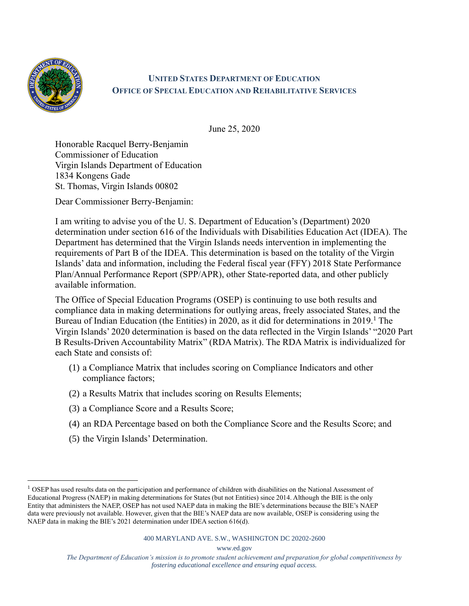

## **UNITED STATES DEPARTMENT OF EDUCATION OFFICE OF SPECIAL EDUCATION AND REHABILITATIVE SERVICES**

June 25, 2020

Honorable Racquel Berry-Benjamin Commissioner of Education Virgin Islands Department of Education 1834 Kongens Gade St. Thomas, Virgin Islands 00802

Dear Commissioner Berry-Benjamin:

I am writing to advise you of the U. S. Department of Education's (Department) 2020 determination under section 616 of the Individuals with Disabilities Education Act (IDEA). The Department has determined that the Virgin Islands needs intervention in implementing the requirements of Part B of the IDEA. This determination is based on the totality of the Virgin Islands' data and information, including the Federal fiscal year (FFY) 2018 State Performance Plan/Annual Performance Report (SPP/APR), other State-reported data, and other publicly available information.

The Office of Special Education Programs (OSEP) is continuing to use both results and compliance data in making determinations for outlying areas, freely associated States, and the Bureau of Indian Education (the Entities) in 2020, as it did for determinations in 2019.<sup>1</sup> The Virgin Islands' 2020 determination is based on the data reflected in the Virgin Islands' "2020 Part B Results-Driven Accountability Matrix" (RDA Matrix). The RDA Matrix is individualized for each State and consists of:

- (1) a Compliance Matrix that includes scoring on Compliance Indicators and other compliance factors;
- (2) a Results Matrix that includes scoring on Results Elements;
- (3) a Compliance Score and a Results Score;
- (4) an RDA Percentage based on both the Compliance Score and the Results Score; and
- (5) the Virgin Islands' Determination.

www.ed.gov

 $<sup>1</sup>$  OSEP has used results data on the participation and performance of children with disabilities on the National Assessment of</sup> Educational Progress (NAEP) in making determinations for States (but not Entities) since 2014. Although the BIE is the only Entity that administers the NAEP, OSEP has not used NAEP data in making the BIE's determinations because the BIE's NAEP data were previously not available. However, given that the BIE's NAEP data are now available, OSEP is considering using the NAEP data in making the BIE's 2021 determination under IDEA section 616(d).

*The Department of Education's mission is to promote student achievement and preparation for global competitiveness by fostering educational excellence and ensuring equal access.*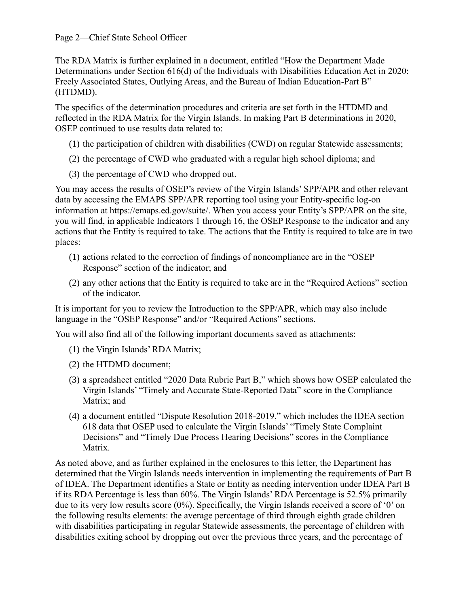The RDA Matrix is further explained in a document, entitled "How the Department Made Determinations under Section 616(d) of the Individuals with Disabilities Education Act in 2020: Freely Associated States, Outlying Areas, and the Bureau of Indian Education-Part B" (HTDMD).

The specifics of the determination procedures and criteria are set forth in the HTDMD and reflected in the RDA Matrix for the Virgin Islands. In making Part B determinations in 2020, OSEP continued to use results data related to:

- (1) the participation of children with disabilities (CWD) on regular Statewide assessments;
- (2) the percentage of CWD who graduated with a regular high school diploma; and
- (3) the percentage of CWD who dropped out.

You may access the results of OSEP's review of the Virgin Islands' SPP/APR and other relevant data by accessing the EMAPS SPP/APR reporting tool using your Entity-specific log-on information at https://emaps.ed.gov/suite/. When you access your Entity's SPP/APR on the site, you will find, in applicable Indicators 1 through 16, the OSEP Response to the indicator and any actions that the Entity is required to take. The actions that the Entity is required to take are in two places:

- (1) actions related to the correction of findings of noncompliance are in the "OSEP Response" section of the indicator; and
- (2) any other actions that the Entity is required to take are in the "Required Actions" section of the indicator.

It is important for you to review the Introduction to the SPP/APR, which may also include language in the "OSEP Response" and/or "Required Actions" sections.

You will also find all of the following important documents saved as attachments:

- (1) the Virgin Islands' RDA Matrix;
- (2) the HTDMD document;
- (3) a spreadsheet entitled "2020 Data Rubric Part B," which shows how OSEP calculated the Virgin Islands' "Timely and Accurate State-Reported Data" score in the Compliance Matrix; and
- (4) a document entitled "Dispute Resolution 2018-2019," which includes the IDEA section 618 data that OSEP used to calculate the Virgin Islands' "Timely State Complaint Decisions" and "Timely Due Process Hearing Decisions" scores in the Compliance Matrix.

As noted above, and as further explained in the enclosures to this letter, the Department has determined that the Virgin Islands needs intervention in implementing the requirements of Part B of IDEA. The Department identifies a State or Entity as needing intervention under IDEA Part B if its RDA Percentage is less than 60%. The Virgin Islands' RDA Percentage is 52.5% primarily due to its very low results score (0%). Specifically, the Virgin Islands received a score of '0' on the following results elements: the average percentage of third through eighth grade children with disabilities participating in regular Statewide assessments, the percentage of children with disabilities exiting school by dropping out over the previous three years, and the percentage of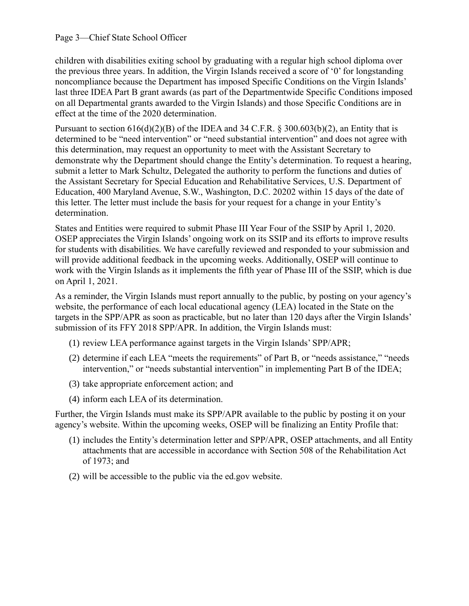## Page 3—Chief State School Officer

children with disabilities exiting school by graduating with a regular high school diploma over the previous three years. In addition, the Virgin Islands received a score of '0' for longstanding noncompliance because the Department has imposed Specific Conditions on the Virgin Islands' last three IDEA Part B grant awards (as part of the Departmentwide Specific Conditions imposed on all Departmental grants awarded to the Virgin Islands) and those Specific Conditions are in effect at the time of the 2020 determination.

Pursuant to section  $616(d)(2)(B)$  of the IDEA and 34 C.F.R. § 300.603(b)(2), an Entity that is determined to be "need intervention" or "need substantial intervention" and does not agree with this determination, may request an opportunity to meet with the Assistant Secretary to demonstrate why the Department should change the Entity's determination. To request a hearing, submit a letter to Mark Schultz, Delegated the authority to perform the functions and duties of the Assistant Secretary for Special Education and Rehabilitative Services, U.S. Department of Education, 400 Maryland Avenue, S.W., Washington, D.C. 20202 within 15 days of the date of this letter. The letter must include the basis for your request for a change in your Entity's determination.

States and Entities were required to submit Phase III Year Four of the SSIP by April 1, 2020. OSEP appreciates the Virgin Islands' ongoing work on its SSIP and its efforts to improve results for students with disabilities. We have carefully reviewed and responded to your submission and will provide additional feedback in the upcoming weeks. Additionally, OSEP will continue to work with the Virgin Islands as it implements the fifth year of Phase III of the SSIP, which is due on April 1, 2021.

As a reminder, the Virgin Islands must report annually to the public, by posting on your agency's website, the performance of each local educational agency (LEA) located in the State on the targets in the SPP/APR as soon as practicable, but no later than 120 days after the Virgin Islands' submission of its FFY 2018 SPP/APR. In addition, the Virgin Islands must:

- (1) review LEA performance against targets in the Virgin Islands' SPP/APR;
- (2) determine if each LEA "meets the requirements" of Part B, or "needs assistance," "needs intervention," or "needs substantial intervention" in implementing Part B of the IDEA;
- (3) take appropriate enforcement action; and
- (4) inform each LEA of its determination.

Further, the Virgin Islands must make its SPP/APR available to the public by posting it on your agency's website. Within the upcoming weeks, OSEP will be finalizing an Entity Profile that:

- (1) includes the Entity's determination letter and SPP/APR, OSEP attachments, and all Entity attachments that are accessible in accordance with Section 508 of the Rehabilitation Act of 1973; and
- (2) will be accessible to the public via the ed.gov website.